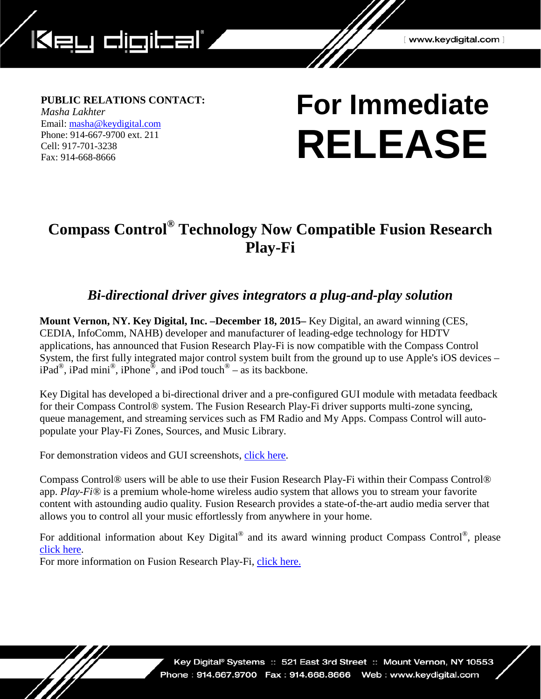

## **PUBLIC RELATIONS CONTACT:**

*Masha Lakhter* Email: [masha@keydigital.com](mailto:masha@keydigital.com?subject=PR%20Information%20Request) Phone: 914-667-9700 ext. 211 Cell: 917-701-3238 Fax: 914-668-8666

# **For Immediate RELEASE**

## **Compass Control® Technology Now Compatible Fusion Research Play-Fi**

## *Bi-directional driver gives integrators a plug-and-play solution*

**Mount Vernon, NY. Key Digital, Inc. –December 18, 2015–** Key Digital, an award winning (CES, CEDIA, InfoComm, NAHB) developer and manufacturer of leading-edge technology for HDTV applications, has announced that Fusion Research Play-Fi is now compatible with the Compass Control System, the first fully integrated major control system built from the ground up to use Apple's iOS devices –  $iPad^{\circledR}$ , iPad mini<sup>\tarrow</sup>, iPhone<sup> $\circledR$ </sup>, and iPod touch<sup>\eeppo</sup> – as its backbone.

Key Digital has developed a bi-directional driver and a pre-configured GUI module with metadata feedback for their Compass Control® system. The Fusion Research Play-Fi driver supports multi-zone syncing, queue management, and streaming services such as FM Radio and My Apps. Compass Control will autopopulate your Play-Fi Zones, Sources, and Music Library.

For demonstration videos and GUI screenshots, [click here.](http://www.keydigital.com/drivers/Tiers.asp)

Compass Control® users will be able to use their Fusion Research Play-Fi within their Compass Control® app. *Play-Fi®* is a premium whole-home wireless audio system that allows you to stream your favorite content with astounding audio quality*.* Fusion Research provides a state-of-the-art audio media server that allows you to control all your music effortlessly from anywhere in your home.

For additional information about Key Digital<sup>®</sup> and its award winning product Compass Control<sup>®</sup>, please [click here.](http://www.keydigital.com/compass/index.htm)

For more information on Fusion Research Play-Fi, [click here.](http://www.fusionrd.com/#!play-fi-solutions/c6180)